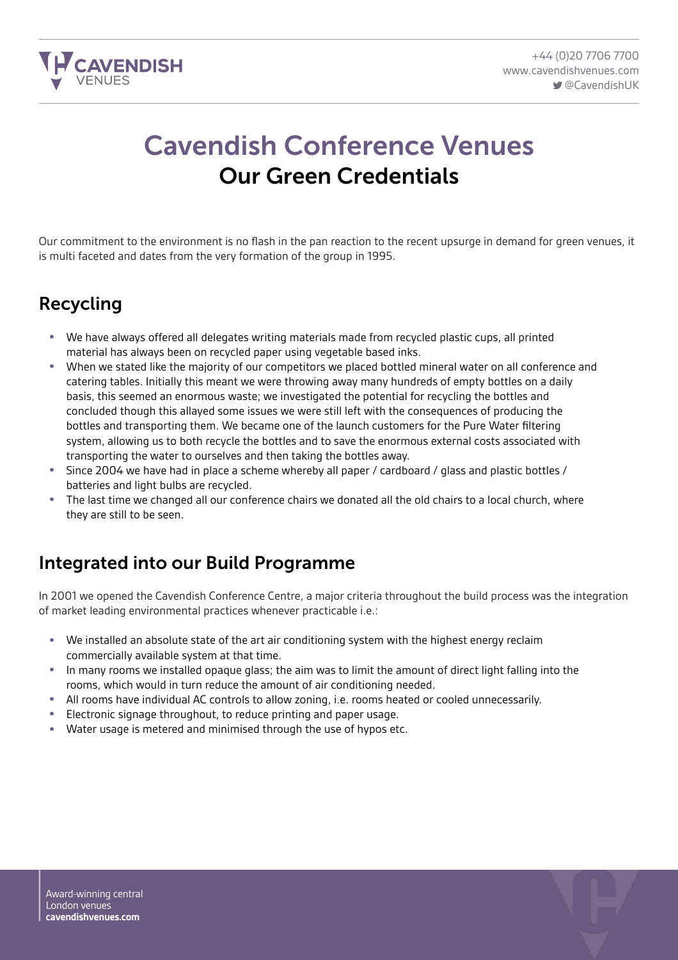

# Cavendish Conference Venues Our Green Credentials

Our commitment to the environment is no flash in the pan reaction to the recent upsurge in demand for green venues, it is multi faceted and dates from the very formation of the group in 1995.

#### Recycling

- We have always offered all delegates writing materials made from recycled plastic cups, all printed material has always been on recycled paper using vegetable based inks.
- When we stated like the majority of our competitors we placed bottled mineral water on all conference and catering tables. Initially this meant we were throwing away many hundreds of empty bottles on a daily basis, this seemed an enormous waste; we investigated the potential for recycling the bottles and concluded though this allayed some issues we were still left with the consequences of producing the bottles and transporting them. We became one of the launch customers for the Pure Water filtering system, allowing us to both recycle the bottles and to save the enormous external costs associated with transporting the water to ourselves and then taking the bottles away.
- Since 2004 we have had in place a scheme whereby all paper / cardboard / glass and plastic bottles / batteries and light bulbs are recycled.
- The last time we changed all our conference chairs we donated all the old chairs to a local church, where they are still to be seen.

# Integrated into our Build Programme

In 2001 we opened the Cavendish Conference Centre, a major criteria throughout the build process was the integration of market leading environmental practices whenever practicable i.e.:

- We installed an absolute state of the art air conditioning system with the highest energy reclaim commercially available system at that time.
- In many rooms we installed opaque glass; the aim was to limit the amount of direct light falling into the rooms, which would in turn reduce the amount of air conditioning needed.
- All rooms have individual AC controls to allow zoning, i.e. rooms heated or cooled unnecessarily.
- Electronic signage throughout, to reduce printing and paper usage.
- Water usage is metered and minimised through the use of hypos etc.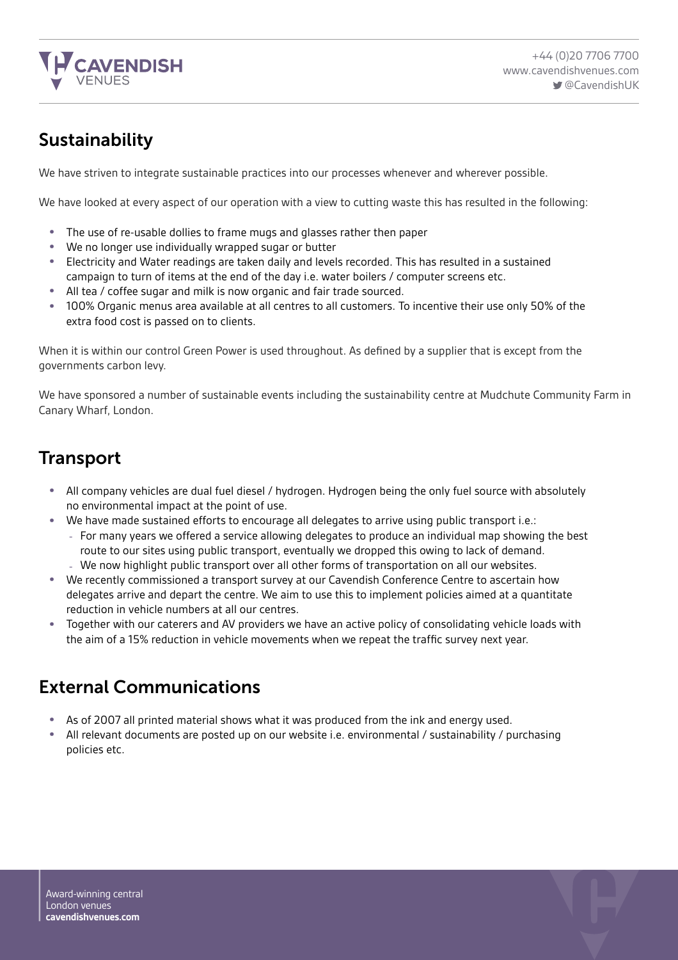

### Sustainability

We have striven to integrate sustainable practices into our processes whenever and wherever possible.

We have looked at every aspect of our operation with a view to cutting waste this has resulted in the following:

- The use of re-usable dollies to frame mugs and glasses rather then paper
- We no longer use individually wrapped sugar or butter
- Electricity and Water readings are taken daily and levels recorded. This has resulted in a sustained campaign to turn of items at the end of the day i.e. water boilers / computer screens etc.
- All tea / coffee sugar and milk is now organic and fair trade sourced.
- 100% Organic menus area available at all centres to all customers. To incentive their use only 50% of the extra food cost is passed on to clients.

When it is within our control Green Power is used throughout. As defined by a supplier that is except from the governments carbon levy.

We have sponsored a number of sustainable events including the sustainability centre at Mudchute Community Farm in Canary Wharf, London.

#### **Transport**

- All company vehicles are dual fuel diesel / hydrogen. Hydrogen being the only fuel source with absolutely no environmental impact at the point of use.
- We have made sustained efforts to encourage all delegates to arrive using public transport i.e.:
	- For many years we offered a service allowing delegates to produce an individual map showing the best route to our sites using public transport, eventually we dropped this owing to lack of demand.
	- We now highlight public transport over all other forms of transportation on all our websites.
- We recently commissioned a transport survey at our Cavendish Conference Centre to ascertain how delegates arrive and depart the centre. We aim to use this to implement policies aimed at a quantitate reduction in vehicle numbers at all our centres.
- Together with our caterers and AV providers we have an active policy of consolidating vehicle loads with the aim of a 15% reduction in vehicle movements when we repeat the traffic survey next year.

#### External Communications

- As of 2007 all printed material shows what it was produced from the ink and energy used.<br>• All relevant documents are posted up on our website i.e. environmental / sustainability / pr
- All relevant documents are posted up on our website i.e. environmental / sustainability / purchasing policies etc.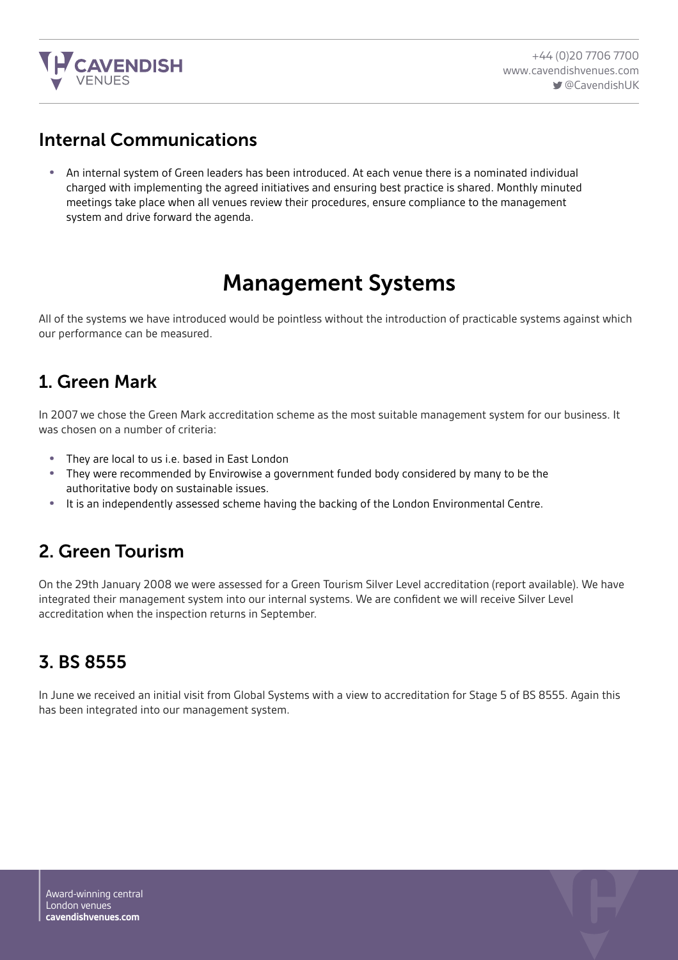

#### Internal Communications

• An internal system of Green leaders has been introduced. At each venue there is a nominated individual charged with implementing the agreed initiatives and ensuring best practice is shared. Monthly minuted meetings take place when all venues review their procedures, ensure compliance to the management system and drive forward the agenda.

# Management Systems

All of the systems we have introduced would be pointless without the introduction of practicable systems against which our performance can be measured.

#### 1. Green Mark

In 2007 we chose the Green Mark accreditation scheme as the most suitable management system for our business. It was chosen on a number of criteria:

- They are local to us i.e. based in East London<br>• They were recommended by Envirowise a gov
- They were recommended by Envirowise a government funded body considered by many to be the authoritative body on sustainable issues.
- It is an independently assessed scheme having the backing of the London Environmental Centre.

#### 2. Green Tourism

On the 29th January 2008 we were assessed for a Green Tourism Silver Level accreditation (report available). We have integrated their management system into our internal systems. We are confident we will receive Silver Level accreditation when the inspection returns in September.

# 3. BS 8555

In June we received an initial visit from Global Systems with a view to accreditation for Stage 5 of BS 8555. Again this has been integrated into our management system.